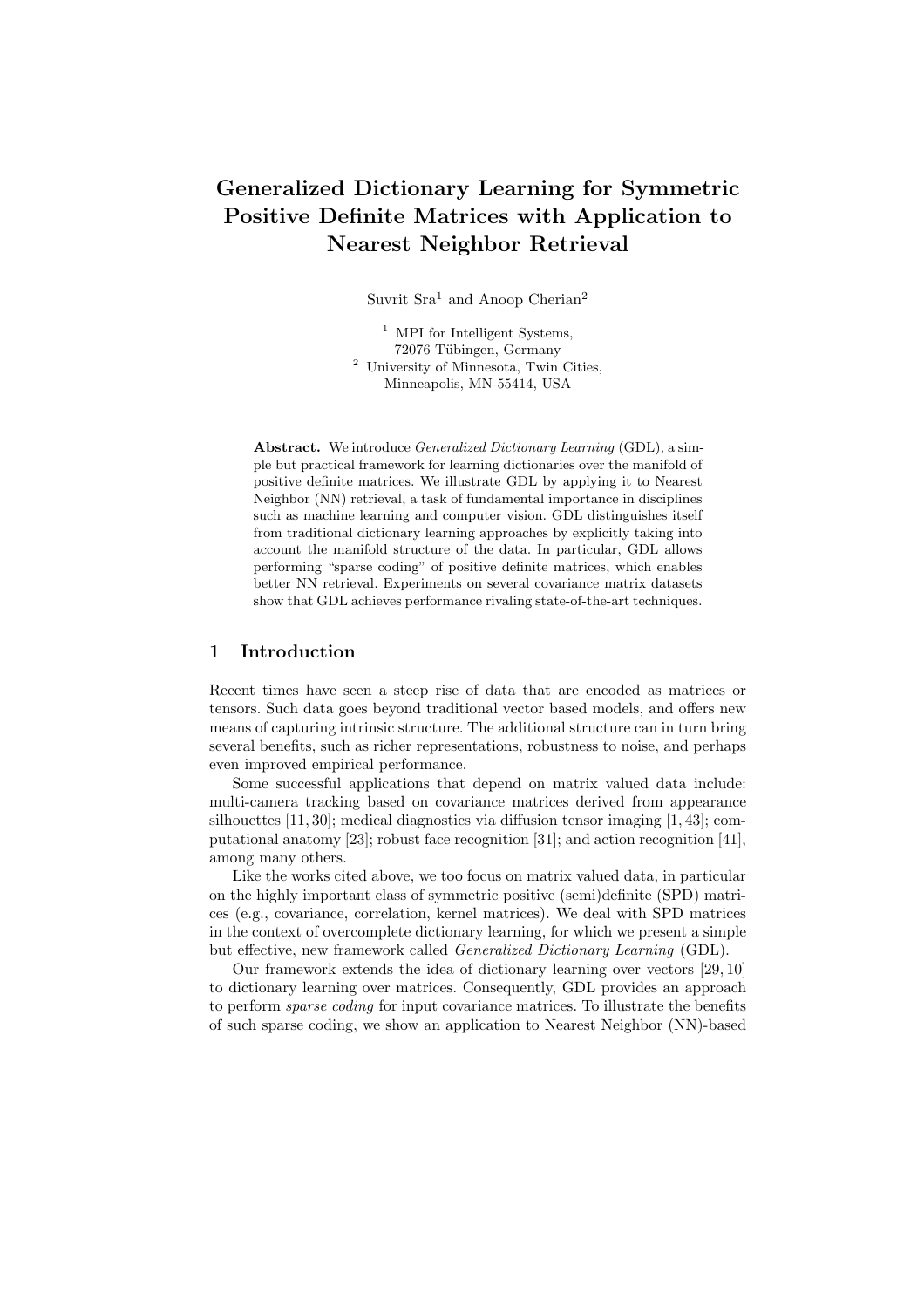# Generalized Dictionary Learning for Symmetric Positive Definite Matrices with Application to Nearest Neighbor Retrieval

Suvrit  $Sra<sup>1</sup>$  and Anoop Cherian<sup>2</sup>

<sup>1</sup> MPI for Intelligent Systems, 72076 Tübingen, Germany <sup>2</sup> University of Minnesota, Twin Cities, Minneapolis, MN-55414, USA

Abstract. We introduce Generalized Dictionary Learning (GDL), a simple but practical framework for learning dictionaries over the manifold of positive definite matrices. We illustrate GDL by applying it to Nearest Neighbor (NN) retrieval, a task of fundamental importance in disciplines such as machine learning and computer vision. GDL distinguishes itself from traditional dictionary learning approaches by explicitly taking into account the manifold structure of the data. In particular, GDL allows performing "sparse coding" of positive definite matrices, which enables better NN retrieval. Experiments on several covariance matrix datasets show that GDL achieves performance rivaling state-of-the-art techniques.

## 1 Introduction

Recent times have seen a steep rise of data that are encoded as matrices or tensors. Such data goes beyond traditional vector based models, and offers new means of capturing intrinsic structure. The additional structure can in turn bring several benefits, such as richer representations, robustness to noise, and perhaps even improved empirical performance.

Some successful applications that depend on matrix valued data include: multi-camera tracking based on covariance matrices derived from appearance silhouettes [11, 30]; medical diagnostics via diffusion tensor imaging [1, 43]; computational anatomy [23]; robust face recognition [31]; and action recognition [41], among many others.

Like the works cited above, we too focus on matrix valued data, in particular on the highly important class of symmetric positive (semi)definite (SPD) matrices (e.g., covariance, correlation, kernel matrices). We deal with SPD matrices in the context of overcomplete dictionary learning, for which we present a simple but effective, new framework called Generalized Dictionary Learning (GDL).

Our framework extends the idea of dictionary learning over vectors [29, 10] to dictionary learning over matrices. Consequently, GDL provides an approach to perform sparse coding for input covariance matrices. To illustrate the benefits of such sparse coding, we show an application to Nearest Neighbor (NN)-based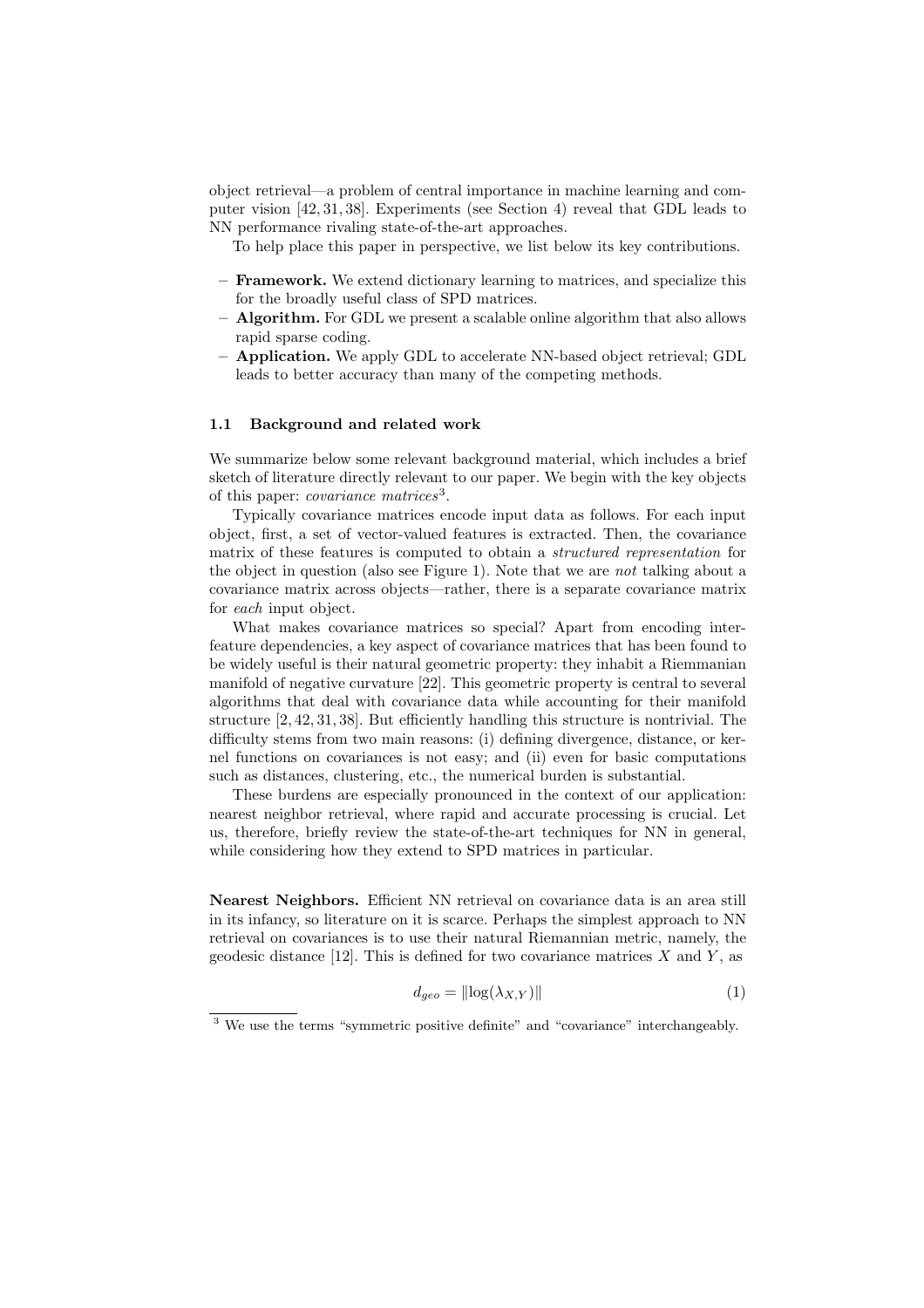object retrieval—a problem of central importance in machine learning and computer vision [42, 31, 38]. Experiments (see Section 4) reveal that GDL leads to NN performance rivaling state-of-the-art approaches.

To help place this paper in perspective, we list below its key contributions.

- Framework. We extend dictionary learning to matrices, and specialize this for the broadly useful class of SPD matrices.
- Algorithm. For GDL we present a scalable online algorithm that also allows rapid sparse coding.
- Application. We apply GDL to accelerate NN-based object retrieval; GDL leads to better accuracy than many of the competing methods.

#### 1.1 Background and related work

We summarize below some relevant background material, which includes a brief sketch of literature directly relevant to our paper. We begin with the key objects of this paper: *covariance matrices*<sup>3</sup>.

Typically covariance matrices encode input data as follows. For each input object, first, a set of vector-valued features is extracted. Then, the covariance matrix of these features is computed to obtain a structured representation for the object in question (also see Figure 1). Note that we are not talking about a covariance matrix across objects—rather, there is a separate covariance matrix for each input object.

What makes covariance matrices so special? Apart from encoding interfeature dependencies, a key aspect of covariance matrices that has been found to be widely useful is their natural geometric property: they inhabit a Riemmanian manifold of negative curvature [22]. This geometric property is central to several algorithms that deal with covariance data while accounting for their manifold structure [2, 42, 31, 38]. But efficiently handling this structure is nontrivial. The difficulty stems from two main reasons: (i) defining divergence, distance, or kernel functions on covariances is not easy; and (ii) even for basic computations such as distances, clustering, etc., the numerical burden is substantial.

These burdens are especially pronounced in the context of our application: nearest neighbor retrieval, where rapid and accurate processing is crucial. Let us, therefore, briefly review the state-of-the-art techniques for NN in general, while considering how they extend to SPD matrices in particular.

Nearest Neighbors. Efficient NN retrieval on covariance data is an area still in its infancy, so literature on it is scarce. Perhaps the simplest approach to NN retrieval on covariances is to use their natural Riemannian metric, namely, the geodesic distance [12]. This is defined for two covariance matrices  $X$  and  $Y$ , as

$$
d_{geo} = \|\log(\lambda_{X,Y})\| \tag{1}
$$

<sup>&</sup>lt;sup>3</sup> We use the terms "symmetric positive definite" and "covariance" interchangeably.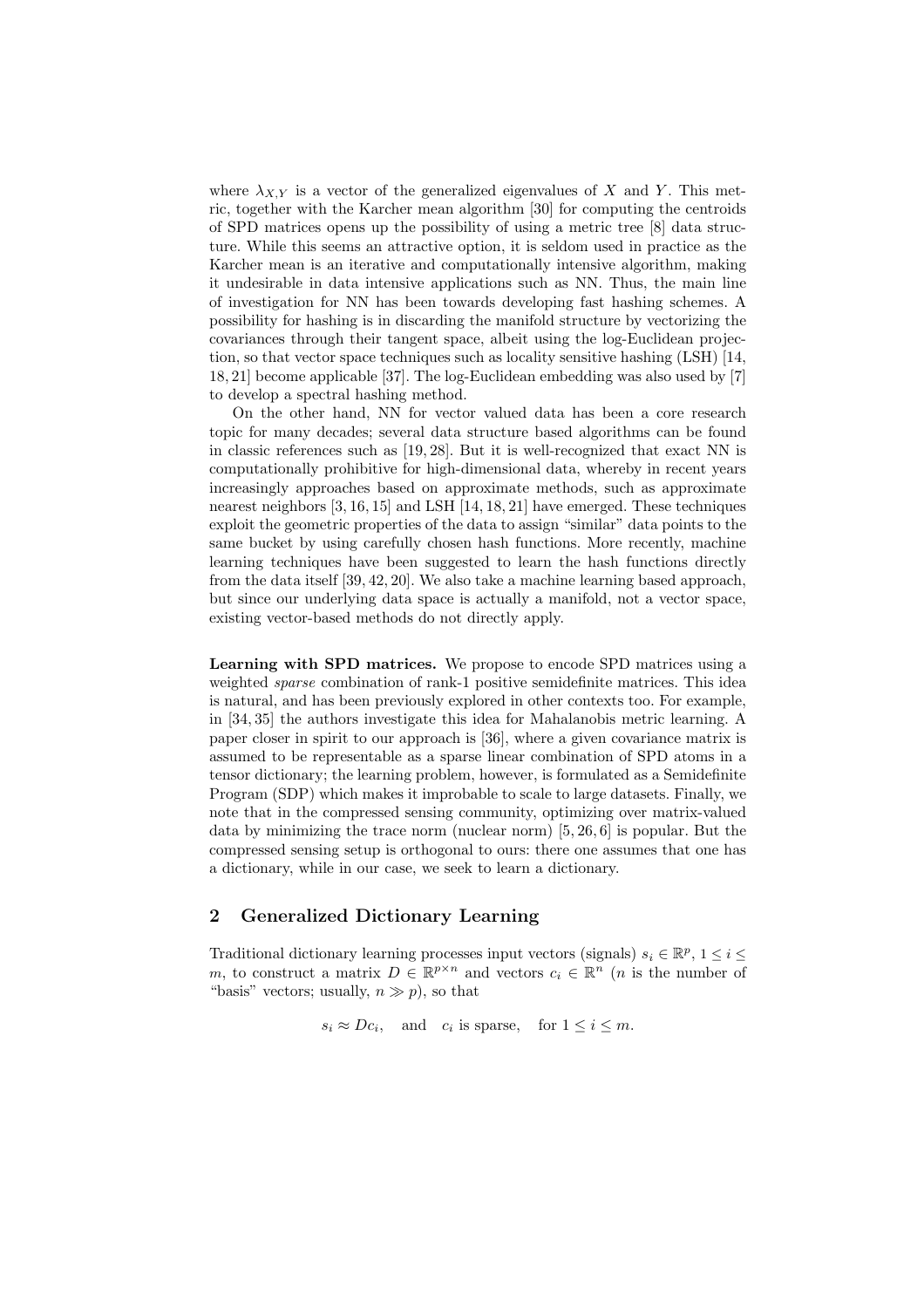where  $\lambda_{X,Y}$  is a vector of the generalized eigenvalues of X and Y. This metric, together with the Karcher mean algorithm [30] for computing the centroids of SPD matrices opens up the possibility of using a metric tree [8] data structure. While this seems an attractive option, it is seldom used in practice as the Karcher mean is an iterative and computationally intensive algorithm, making it undesirable in data intensive applications such as NN. Thus, the main line of investigation for NN has been towards developing fast hashing schemes. A possibility for hashing is in discarding the manifold structure by vectorizing the covariances through their tangent space, albeit using the log-Euclidean projection, so that vector space techniques such as locality sensitive hashing (LSH) [14, 18, 21] become applicable [37]. The log-Euclidean embedding was also used by [7] to develop a spectral hashing method.

On the other hand, NN for vector valued data has been a core research topic for many decades; several data structure based algorithms can be found in classic references such as [19, 28]. But it is well-recognized that exact NN is computationally prohibitive for high-dimensional data, whereby in recent years increasingly approaches based on approximate methods, such as approximate nearest neighbors [3, 16, 15] and LSH [14, 18, 21] have emerged. These techniques exploit the geometric properties of the data to assign "similar" data points to the same bucket by using carefully chosen hash functions. More recently, machine learning techniques have been suggested to learn the hash functions directly from the data itself [39, 42, 20]. We also take a machine learning based approach, but since our underlying data space is actually a manifold, not a vector space, existing vector-based methods do not directly apply.

Learning with SPD matrices. We propose to encode SPD matrices using a weighted sparse combination of rank-1 positive semidefinite matrices. This idea is natural, and has been previously explored in other contexts too. For example, in [34, 35] the authors investigate this idea for Mahalanobis metric learning. A paper closer in spirit to our approach is [36], where a given covariance matrix is assumed to be representable as a sparse linear combination of SPD atoms in a tensor dictionary; the learning problem, however, is formulated as a Semidefinite Program (SDP) which makes it improbable to scale to large datasets. Finally, we note that in the compressed sensing community, optimizing over matrix-valued data by minimizing the trace norm (nuclear norm)  $[5, 26, 6]$  is popular. But the compressed sensing setup is orthogonal to ours: there one assumes that one has a dictionary, while in our case, we seek to learn a dictionary.

# 2 Generalized Dictionary Learning

Traditional dictionary learning processes input vectors (signals)  $s_i \in \mathbb{R}^p$ ,  $1 \leq i \leq$ m, to construct a matrix  $D \in \mathbb{R}^{p \times n}$  and vectors  $c_i \in \mathbb{R}^n$  (*n* is the number of "basis" vectors; usually,  $n \gg p$ ), so that

$$
s_i \approx Dc_i
$$
, and  $c_i$  is sparse, for  $1 \le i \le m$ .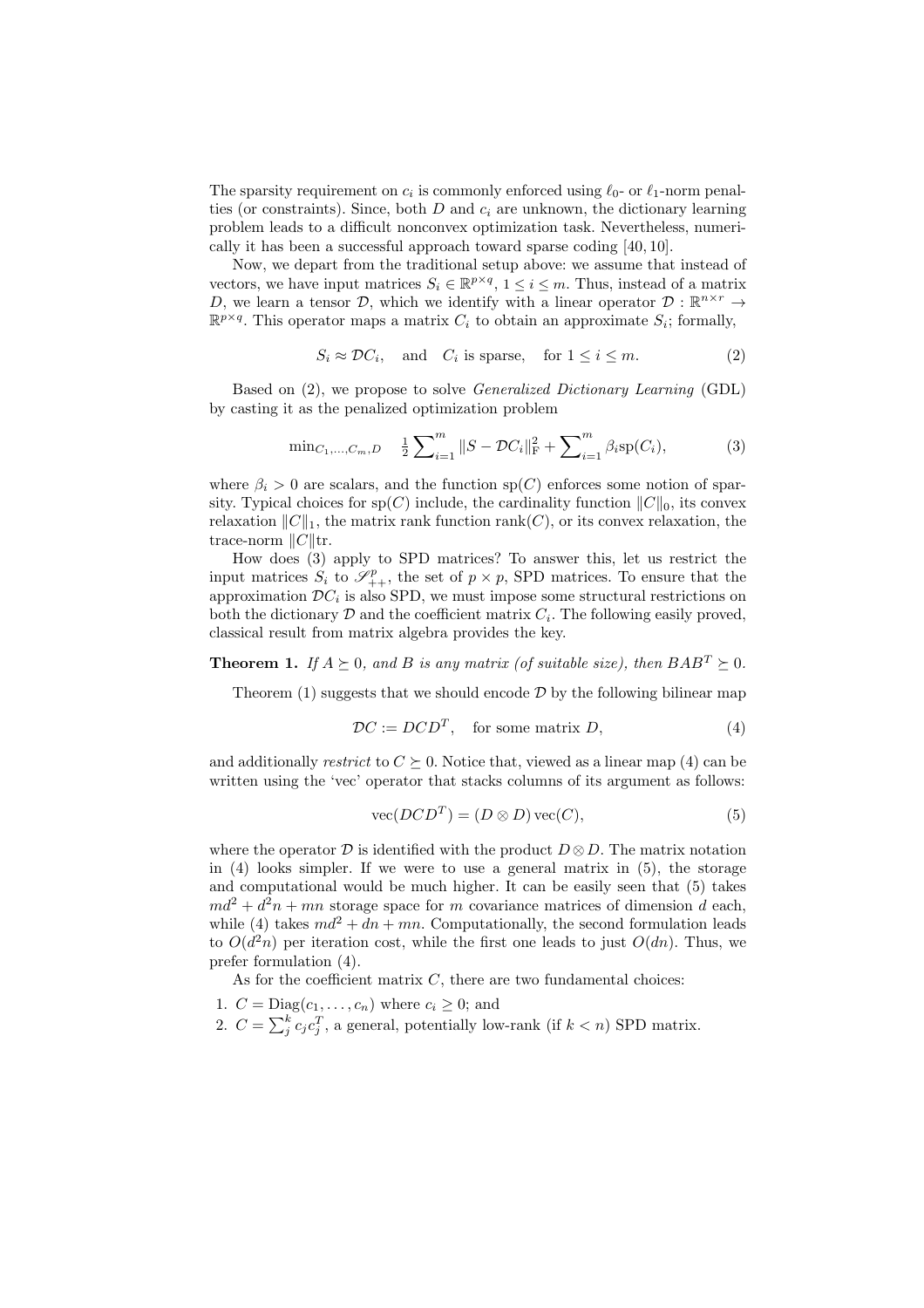The sparsity requirement on  $c_i$  is commonly enforced using  $\ell_0$ - or  $\ell_1$ -norm penalties (or constraints). Since, both  $D$  and  $c_i$  are unknown, the dictionary learning problem leads to a difficult nonconvex optimization task. Nevertheless, numerically it has been a successful approach toward sparse coding [40, 10].

Now, we depart from the traditional setup above: we assume that instead of vectors, we have input matrices  $S_i \in \mathbb{R}^{p \times q}$ ,  $1 \le i \le m$ . Thus, instead of a matrix D, we learn a tensor D, which we identify with a linear operator  $\mathcal{D}: \mathbb{R}^{n \times r} \to$  $\mathbb{R}^{p \times q}$ . This operator maps a matrix  $C_i$  to obtain an approximate  $S_i$ ; formally,

$$
S_i \approx \mathcal{D}C_i, \quad \text{and} \quad C_i \text{ is sparse}, \quad \text{for } 1 \le i \le m. \tag{2}
$$

Based on (2), we propose to solve Generalized Dictionary Learning (GDL) by casting it as the penalized optimization problem

$$
\min_{C_1, \dots, C_m, D} \quad \frac{1}{2} \sum_{i=1}^m \|S - \mathcal{D}C_i\|_{\mathcal{F}}^2 + \sum_{i=1}^m \beta_i \text{sp}(C_i),\tag{3}
$$

where  $\beta_i > 0$  are scalars, and the function sp(C) enforces some notion of sparsity. Typical choices for sp(C) include, the cardinality function  $||C||_0$ , its convex relaxation  $||C||_1$ , the matrix rank function rank $(C)$ , or its convex relaxation, the trace-norm  $||C||$ tr.

How does (3) apply to SPD matrices? To answer this, let us restrict the input matrices  $S_i$  to  $\mathscr{S}_{++}^p$ , the set of  $p \times p$ , SPD matrices. To ensure that the approximation  $DC_i$  is also SPD, we must impose some structural restrictions on both the dictionary  $D$  and the coefficient matrix  $C_i$ . The following easily proved, classical result from matrix algebra provides the key.

**Theorem 1.** If  $A \succeq 0$ , and B is any matrix (of suitable size), then  $BAB^T \succeq 0$ .

Theorem (1) suggests that we should encode  $\mathcal D$  by the following bilinear map

$$
\mathcal{D}C := DCD^T, \quad \text{for some matrix } D,\tag{4}
$$

and additionally restrict to  $C \geq 0$ . Notice that, viewed as a linear map (4) can be written using the 'vec' operator that stacks columns of its argument as follows:

$$
\text{vec}(DCD^T) = (D \otimes D)\,\text{vec}(C),\tag{5}
$$

where the operator D is identified with the product  $D \otimes D$ . The matrix notation in (4) looks simpler. If we were to use a general matrix in (5), the storage and computational would be much higher. It can be easily seen that (5) takes  $md^2 + d^2n + mn$  storage space for m covariance matrices of dimension d each, while (4) takes  $md^2 + dn + mn$ . Computationally, the second formulation leads to  $O(d^2n)$  per iteration cost, while the first one leads to just  $O(dn)$ . Thus, we prefer formulation (4).

As for the coefficient matrix  $C$ , there are two fundamental choices:

- 1.  $C = \text{Diag}(c_1, \ldots, c_n)$  where  $c_i \geq 0$ ; and
- 2.  $C = \sum_{j}^{k} c_j c_j^T$ , a general, potentially low-rank (if  $k < n$ ) SPD matrix.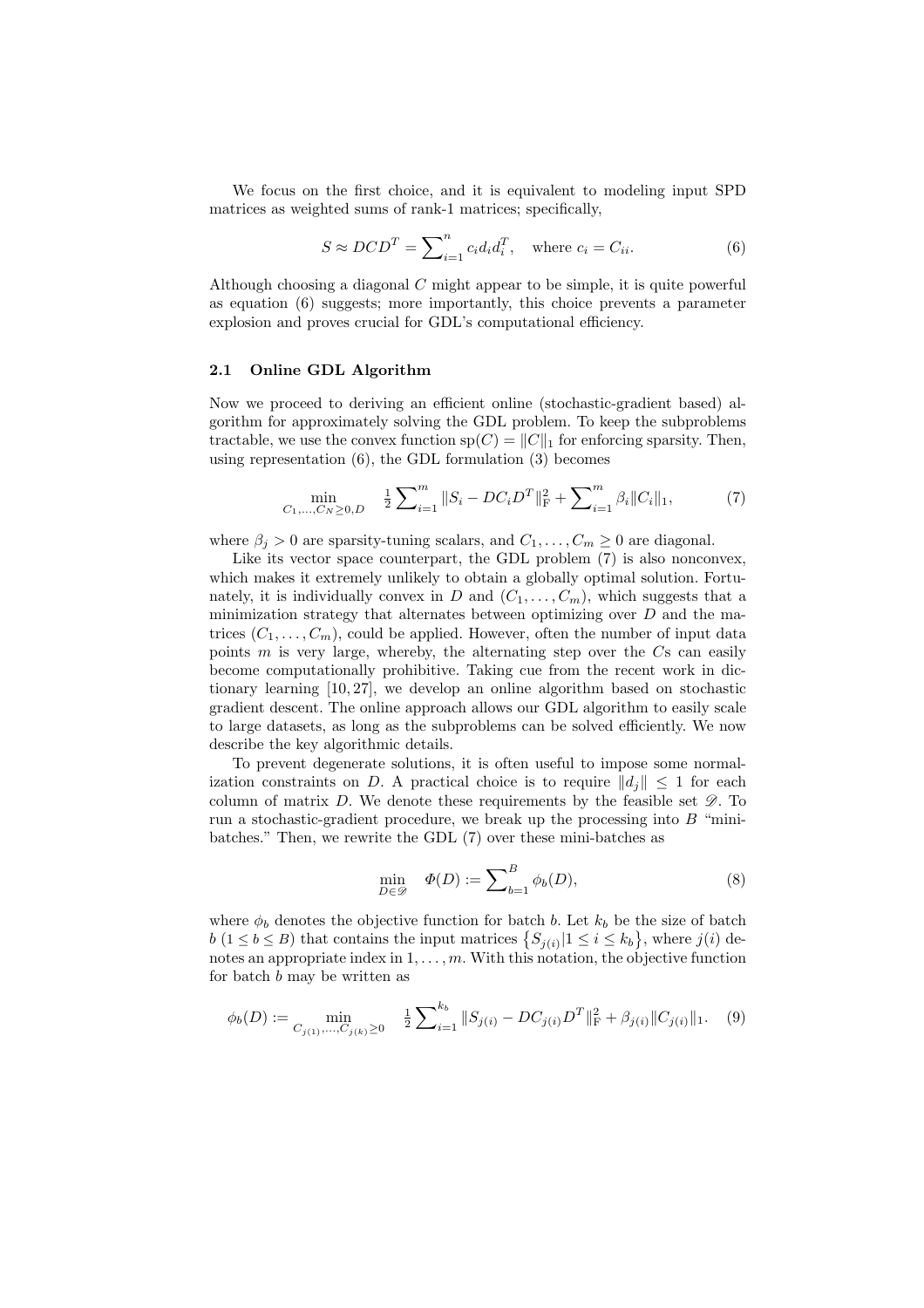We focus on the first choice, and it is equivalent to modeling input SPD matrices as weighted sums of rank-1 matrices; specifically,

$$
S \approx DCD^{T} = \sum_{i=1}^{n} c_i d_i d_i^{T}, \quad \text{where } c_i = C_{ii}.
$$
 (6)

Although choosing a diagonal  $C$  might appear to be simple, it is quite powerful as equation (6) suggests; more importantly, this choice prevents a parameter explosion and proves crucial for GDL's computational efficiency.

#### 2.1 Online GDL Algorithm

Now we proceed to deriving an efficient online (stochastic-gradient based) algorithm for approximately solving the GDL problem. To keep the subproblems tractable, we use the convex function  $sp(C) = ||C||_1$  for enforcing sparsity. Then, using representation (6), the GDL formulation (3) becomes

$$
\min_{C_1, \dots, C_N \ge 0, D} \quad \frac{1}{2} \sum_{i=1}^m \|S_i - DC_i D^T\|_{\mathcal{F}}^2 + \sum_{i=1}^m \beta_i \|C_i\|_1,\tag{7}
$$

where  $\beta_j > 0$  are sparsity-tuning scalars, and  $C_1, \ldots, C_m \geq 0$  are diagonal.

Like its vector space counterpart, the GDL problem (7) is also nonconvex, which makes it extremely unlikely to obtain a globally optimal solution. Fortunately, it is individually convex in D and  $(C_1, \ldots, C_m)$ , which suggests that a minimization strategy that alternates between optimizing over  $D$  and the matrices  $(C_1, \ldots, C_m)$ , could be applied. However, often the number of input data points  $m$  is very large, whereby, the alternating step over the  $Cs$  can easily become computationally prohibitive. Taking cue from the recent work in dictionary learning [10, 27], we develop an online algorithm based on stochastic gradient descent. The online approach allows our GDL algorithm to easily scale to large datasets, as long as the subproblems can be solved efficiently. We now describe the key algorithmic details.

To prevent degenerate solutions, it is often useful to impose some normalization constraints on D. A practical choice is to require  $||d_i|| \leq 1$  for each column of matrix D. We denote these requirements by the feasible set  $\mathscr{D}$ . To run a stochastic-gradient procedure, we break up the processing into  $B$  "minibatches." Then, we rewrite the GDL (7) over these mini-batches as

$$
\min_{D \in \mathcal{D}} \quad \Phi(D) := \sum_{b=1}^{B} \phi_b(D),\tag{8}
$$

where  $\phi_b$  denotes the objective function for batch b. Let  $k_b$  be the size of batch  $b$   $(1 \leq b \leq B)$  that contains the input matrices  $\{S_{j(i)}|1 \leq i \leq k_b\}$ , where  $j(i)$  denotes an appropriate index in  $1, \ldots, m$ . With this notation, the objective function for batch b may be written as

$$
\phi_b(D) := \min_{C_{j(1)},...,C_{j(k)} \ge 0} \quad \frac{1}{2} \sum_{i=1}^{k_b} \|S_{j(i)} - DC_{j(i)}D^T\|_{\mathcal{F}}^2 + \beta_{j(i)}\|C_{j(i)}\|_1. \tag{9}
$$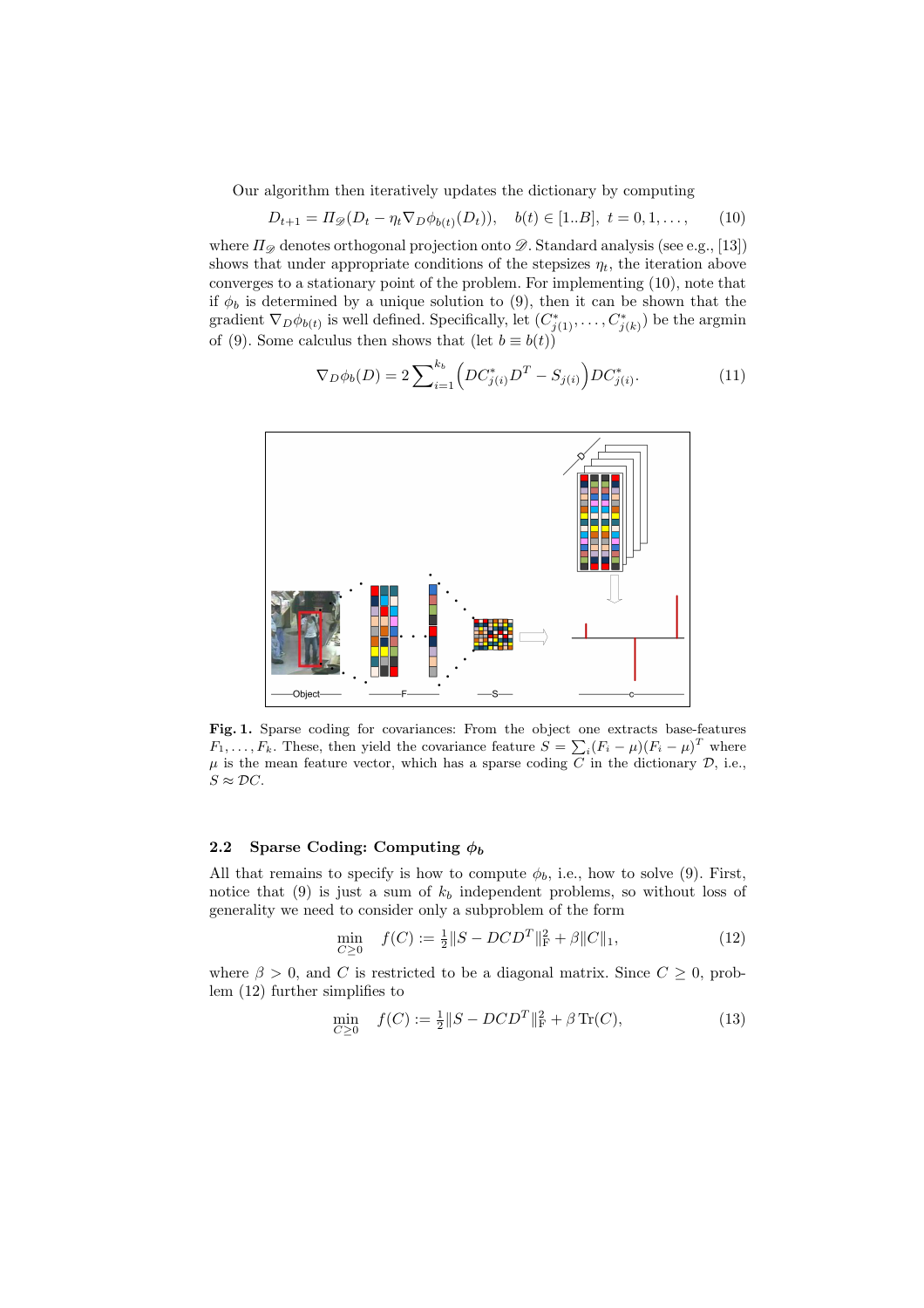Our algorithm then iteratively updates the dictionary by computing

$$
D_{t+1} = \Pi_{\mathscr{D}}(D_t - \eta_t \nabla_D \phi_{b(t)}(D_t)), \quad b(t) \in [1..B], \ t = 0, 1, \dots, \tag{10}
$$

where  $\Pi_{\mathscr{D}}$  denotes orthogonal projection onto  $\mathscr{D}$ . Standard analysis (see e.g., [13]) shows that under appropriate conditions of the stepsizes  $\eta_t$ , the iteration above converges to a stationary point of the problem. For implementing (10), note that if  $\phi_b$  is determined by a unique solution to (9), then it can be shown that the gradient  $\nabla_D \phi_{b(t)}$  is well defined. Specifically, let  $(C^*_{j(1)}, \ldots, C^*_{j(k)})$  be the argmin of (9). Some calculus then shows that (let  $b \equiv b(t)$ )

$$
\nabla_D \phi_b(D) = 2 \sum_{i=1}^{k_b} \left( DC_{j(i)}^* D^T - S_{j(i)} \right) DC_{j(i)}^* . \tag{11}
$$



Fig. 1. Sparse coding for covariances: From the object one extracts base-features  $F_1, \ldots, F_k$ . These, then yield the covariance feature  $S = \sum_i (F_i - \mu)(F_i - \mu)^T$  where  $\mu$  is the mean feature vector, which has a sparse coding  $\overline{C}$  in the dictionary  $\mathcal{D}$ , i.e.,  $S \approx \mathcal{D}C$ .

# 2.2 Sparse Coding: Computing  $\phi_b$

All that remains to specify is how to compute  $\phi_b$ , i.e., how to solve (9). First, notice that (9) is just a sum of  $k_b$  independent problems, so without loss of generality we need to consider only a subproblem of the form

$$
\min_{C \ge 0} f(C) := \frac{1}{2} \|S - DCD^T\|_{\mathcal{F}}^2 + \beta \|C\|_1,\tag{12}
$$

where  $\beta > 0$ , and C is restricted to be a diagonal matrix. Since  $C \geq 0$ , problem (12) further simplifies to

$$
\min_{C \ge 0} f(C) := \frac{1}{2} \| S - DCD^T \|_{\mathcal{F}}^2 + \beta \operatorname{Tr}(C), \tag{13}
$$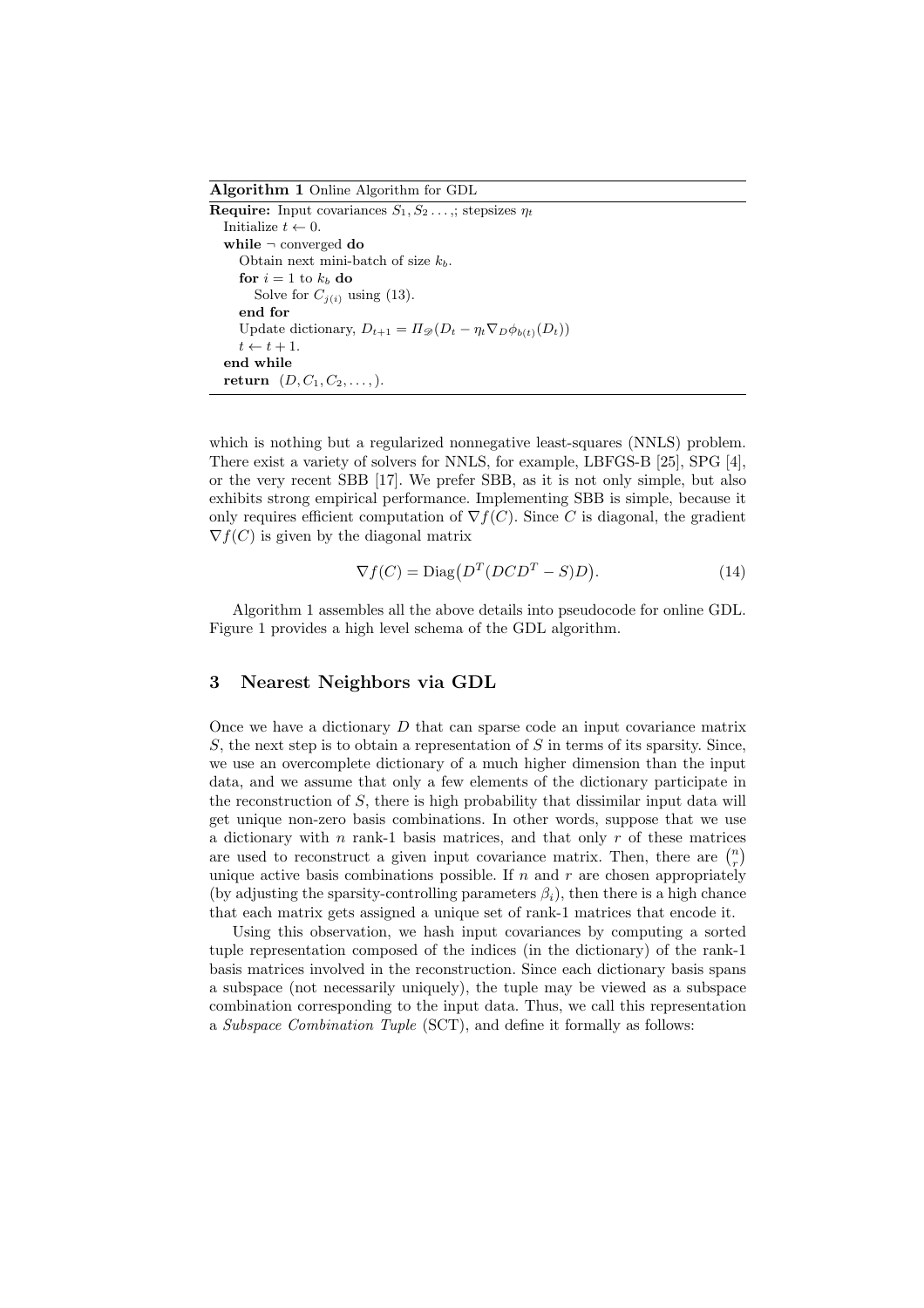Algorithm 1 Online Algorithm for GDL **Require:** Input covariances  $S_1, S_2, \ldots$ ; stepsizes  $\eta_t$ Initialize  $t \leftarrow 0$ . while  $\neg$  converged do Obtain next mini-batch of size  $k_b$ . for  $i = 1$  to  $k_b$  do Solve for  $C_{i(i)}$  using (13). end for Update dictionary,  $D_{t+1} = \Pi_{\mathcal{D}}(D_t - \eta_t \nabla_D \phi_{b(t)}(D_t))$  $t \leftarrow t + 1.$ end while return  $(D, C_1, C_2, \ldots).$ 

which is nothing but a regularized nonnegative least-squares (NNLS) problem. There exist a variety of solvers for NNLS, for example, LBFGS-B [25], SPG [4], or the very recent SBB [17]. We prefer SBB, as it is not only simple, but also exhibits strong empirical performance. Implementing SBB is simple, because it only requires efficient computation of  $\nabla f(C)$ . Since C is diagonal, the gradient  $\nabla f(C)$  is given by the diagonal matrix

$$
\nabla f(C) = \text{Diag}(D^T (DCD^T - S)D). \tag{14}
$$

Algorithm 1 assembles all the above details into pseudocode for online GDL. Figure 1 provides a high level schema of the GDL algorithm.

#### 3 Nearest Neighbors via GDL

Once we have a dictionary  $D$  that can sparse code an input covariance matrix  $S$ , the next step is to obtain a representation of  $S$  in terms of its sparsity. Since, we use an overcomplete dictionary of a much higher dimension than the input data, and we assume that only a few elements of the dictionary participate in the reconstruction of  $S$ , there is high probability that dissimilar input data will get unique non-zero basis combinations. In other words, suppose that we use a dictionary with  $n$  rank-1 basis matrices, and that only  $r$  of these matrices are used to reconstruct a given input covariance matrix. Then, there are  $\binom{n}{r}$ unique active basis combinations possible. If  $n$  and  $r$  are chosen appropriately (by adjusting the sparsity-controlling parameters  $\beta_i$ ), then there is a high chance that each matrix gets assigned a unique set of rank-1 matrices that encode it.

Using this observation, we hash input covariances by computing a sorted tuple representation composed of the indices (in the dictionary) of the rank-1 basis matrices involved in the reconstruction. Since each dictionary basis spans a subspace (not necessarily uniquely), the tuple may be viewed as a subspace combination corresponding to the input data. Thus, we call this representation a Subspace Combination Tuple (SCT), and define it formally as follows: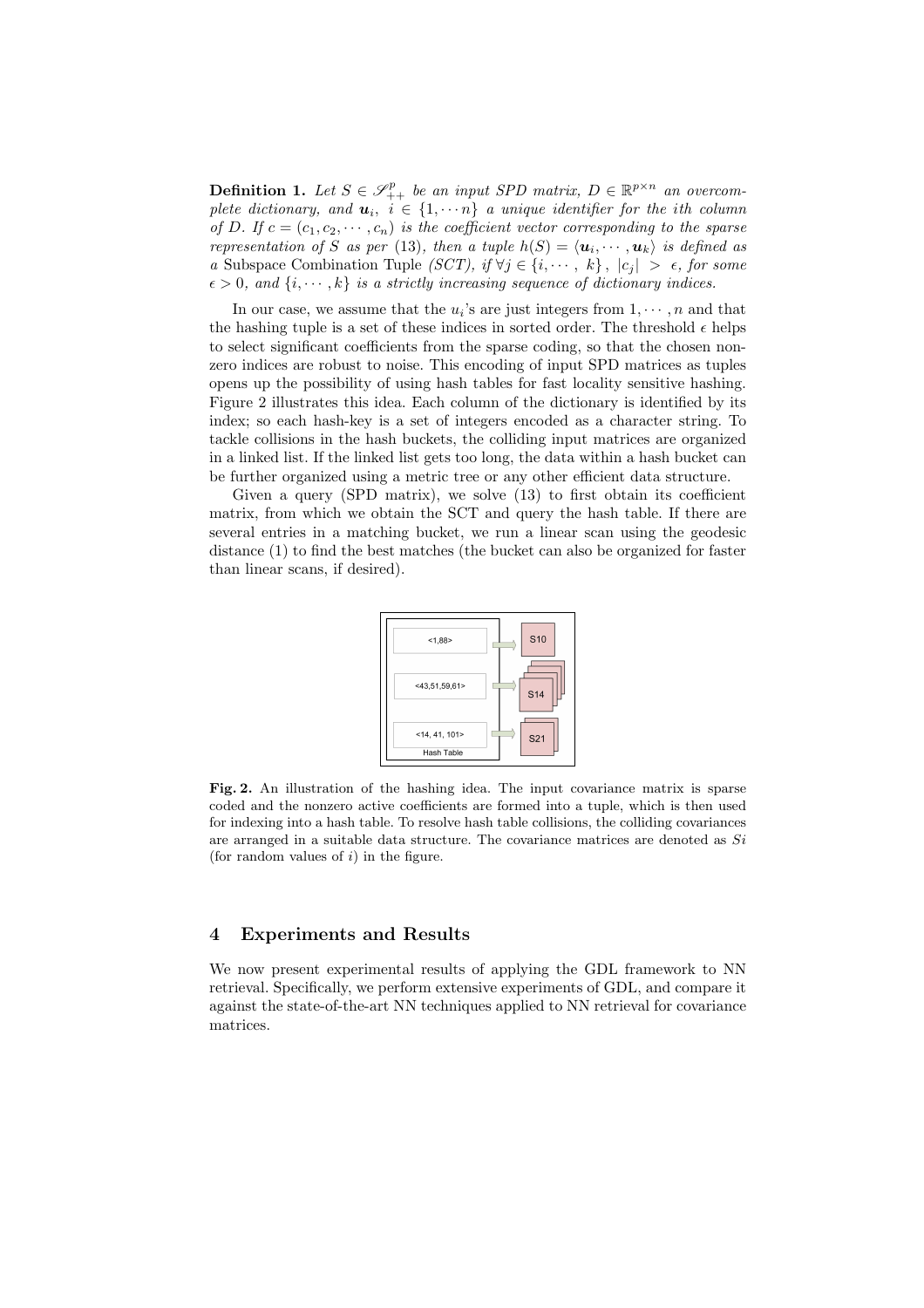**Definition 1.** Let  $S \in \mathcal{S}_{++}^p$  be an input SPD matrix,  $D \in \mathbb{R}^{p \times n}$  an overcomplete dictionary, and  $u_i$ ,  $i \in \{1, \dots n\}$  a unique identifier for the ith column of D. If  $c = (c_1, c_2, \dots, c_n)$  is the coefficient vector corresponding to the sparse representation of S as per (13), then a tuple  $h(S) = \langle u_i, \dots, u_k \rangle$  is defined as a Subspace Combination Tuple (SCT), if  $\forall j \in \{i, \dots, k\}$ ,  $|c_j| > \epsilon$ , for some  $\epsilon > 0$ , and  $\{i, \dots, k\}$  is a strictly increasing sequence of dictionary indices.

In our case, we assume that the  $u_i$ 's are just integers from  $1, \dots, n$  and that the hashing tuple is a set of these indices in sorted order. The threshold  $\epsilon$  helps to select significant coefficients from the sparse coding, so that the chosen nonzero indices are robust to noise. This encoding of input SPD matrices as tuples opens up the possibility of using hash tables for fast locality sensitive hashing. Figure 2 illustrates this idea. Each column of the dictionary is identified by its index; so each hash-key is a set of integers encoded as a character string. To tackle collisions in the hash buckets, the colliding input matrices are organized in a linked list. If the linked list gets too long, the data within a hash bucket can be further organized using a metric tree or any other efficient data structure.

Given a query (SPD matrix), we solve  $(13)$  to first obtain its coefficient matrix, from which we obtain the SCT and query the hash table. If there are several entries in a matching bucket, we run a linear scan using the geodesic distance (1) to find the best matches (the bucket can also be organized for faster than linear scans, if desired).



Fig. 2. An illustration of the hashing idea. The input covariance matrix is sparse coded and the nonzero active coefficients are formed into a tuple, which is then used for indexing into a hash table. To resolve hash table collisions, the colliding covariances are arranged in a suitable data structure. The covariance matrices are denoted as  $Si$ (for random values of  $i$ ) in the figure.

## 4 Experiments and Results

We now present experimental results of applying the GDL framework to NN retrieval. Specifically, we perform extensive experiments of GDL, and compare it against the state-of-the-art NN techniques applied to NN retrieval for covariance matrices.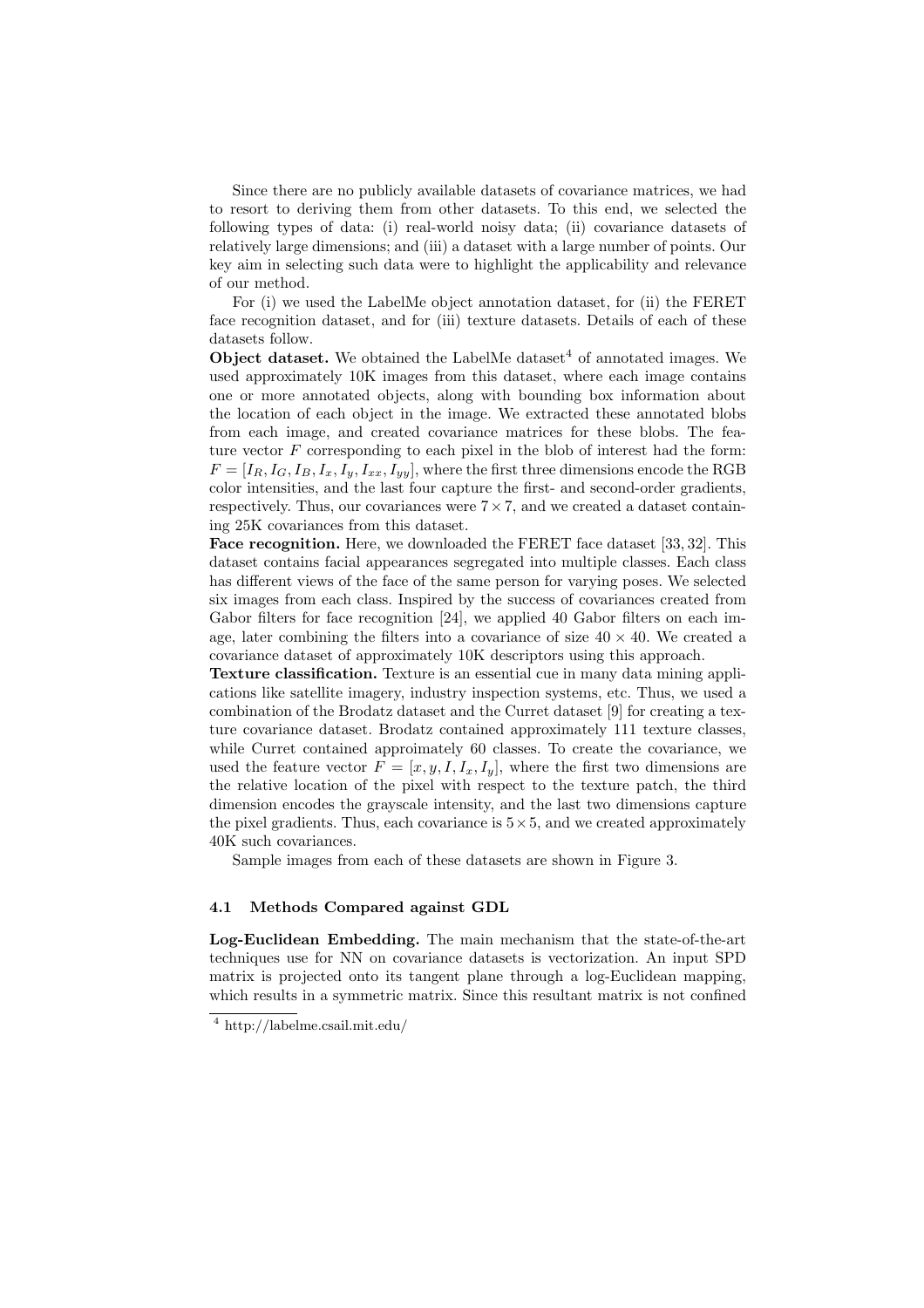Since there are no publicly available datasets of covariance matrices, we had to resort to deriving them from other datasets. To this end, we selected the following types of data: (i) real-world noisy data; (ii) covariance datasets of relatively large dimensions; and (iii) a dataset with a large number of points. Our key aim in selecting such data were to highlight the applicability and relevance of our method.

For (i) we used the LabelMe object annotation dataset, for (ii) the FERET face recognition dataset, and for (iii) texture datasets. Details of each of these datasets follow.

**Object dataset.** We obtained the LabelMe dataset<sup>4</sup> of annotated images. We used approximately 10K images from this dataset, where each image contains one or more annotated objects, along with bounding box information about the location of each object in the image. We extracted these annotated blobs from each image, and created covariance matrices for these blobs. The feature vector  $F$  corresponding to each pixel in the blob of interest had the form:  $F = [I_R, I_G, I_B, I_x, I_y, I_{xx}, I_{yy}]$ , where the first three dimensions encode the RGB color intensities, and the last four capture the first- and second-order gradients, respectively. Thus, our covariances were  $7 \times 7$ , and we created a dataset containing 25K covariances from this dataset.

Face recognition. Here, we downloaded the FERET face dataset [33, 32]. This dataset contains facial appearances segregated into multiple classes. Each class has different views of the face of the same person for varying poses. We selected six images from each class. Inspired by the success of covariances created from Gabor filters for face recognition [24], we applied 40 Gabor filters on each image, later combining the filters into a covariance of size  $40 \times 40$ . We created a covariance dataset of approximately 10K descriptors using this approach.

Texture classification. Texture is an essential cue in many data mining applications like satellite imagery, industry inspection systems, etc. Thus, we used a combination of the Brodatz dataset and the Curret dataset [9] for creating a texture covariance dataset. Brodatz contained approximately 111 texture classes, while Curret contained approimately 60 classes. To create the covariance, we used the feature vector  $F = [x, y, I, I_x, I_y]$ , where the first two dimensions are the relative location of the pixel with respect to the texture patch, the third dimension encodes the grayscale intensity, and the last two dimensions capture the pixel gradients. Thus, each covariance is  $5 \times 5$ , and we created approximately 40K such covariances.

Sample images from each of these datasets are shown in Figure 3.

#### 4.1 Methods Compared against GDL

Log-Euclidean Embedding. The main mechanism that the state-of-the-art techniques use for NN on covariance datasets is vectorization. An input SPD matrix is projected onto its tangent plane through a log-Euclidean mapping, which results in a symmetric matrix. Since this resultant matrix is not confined

<sup>4</sup> http://labelme.csail.mit.edu/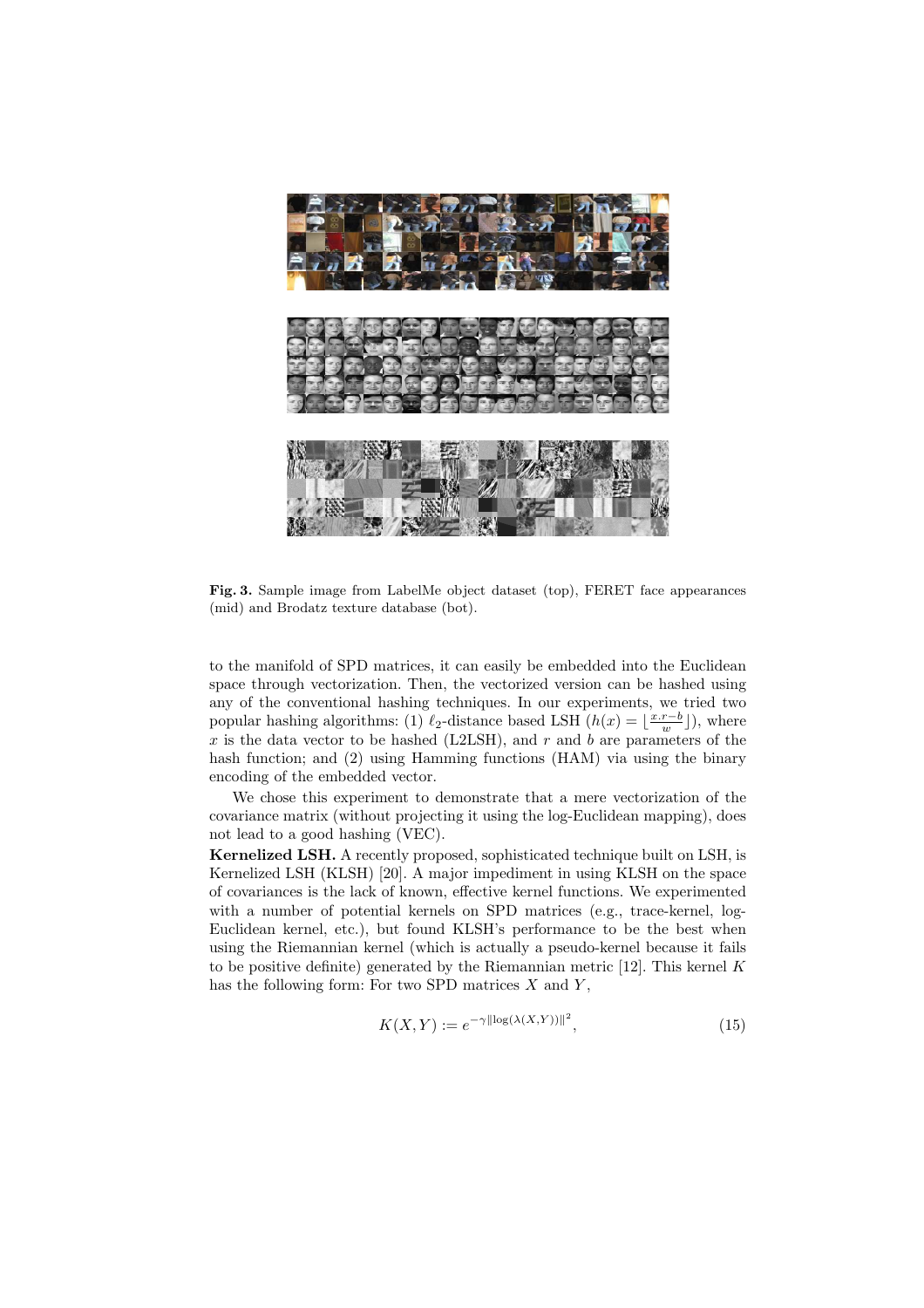

Fig. 3. Sample image from LabelMe object dataset (top), FERET face appearances (mid) and Brodatz texture database (bot).

to the manifold of SPD matrices, it can easily be embedded into the Euclidean space through vectorization. Then, the vectorized version can be hashed using any of the conventional hashing techniques. In our experiments, we tried two popular hashing algorithms: (1)  $\ell_2$ -distance based LSH  $(h(x) = \lfloor \frac{x \cdot r - b}{w} \rfloor)$ , where x is the data vector to be hashed (L2LSH), and  $r$  and  $b$  are parameters of the hash function; and (2) using Hamming functions (HAM) via using the binary encoding of the embedded vector.

We chose this experiment to demonstrate that a mere vectorization of the covariance matrix (without projecting it using the log-Euclidean mapping), does not lead to a good hashing (VEC).

Kernelized LSH. A recently proposed, sophisticated technique built on LSH, is Kernelized LSH (KLSH) [20]. A major impediment in using KLSH on the space of covariances is the lack of known, effective kernel functions. We experimented with a number of potential kernels on SPD matrices (e.g., trace-kernel, log-Euclidean kernel, etc.), but found KLSH's performance to be the best when using the Riemannian kernel (which is actually a pseudo-kernel because it fails to be positive definite) generated by the Riemannian metric [12]. This kernel  $K$ has the following form: For two SPD matrices  $X$  and  $Y$ ,

$$
K(X,Y) := e^{-\gamma \|\log(\lambda(X,Y))\|^2},\tag{15}
$$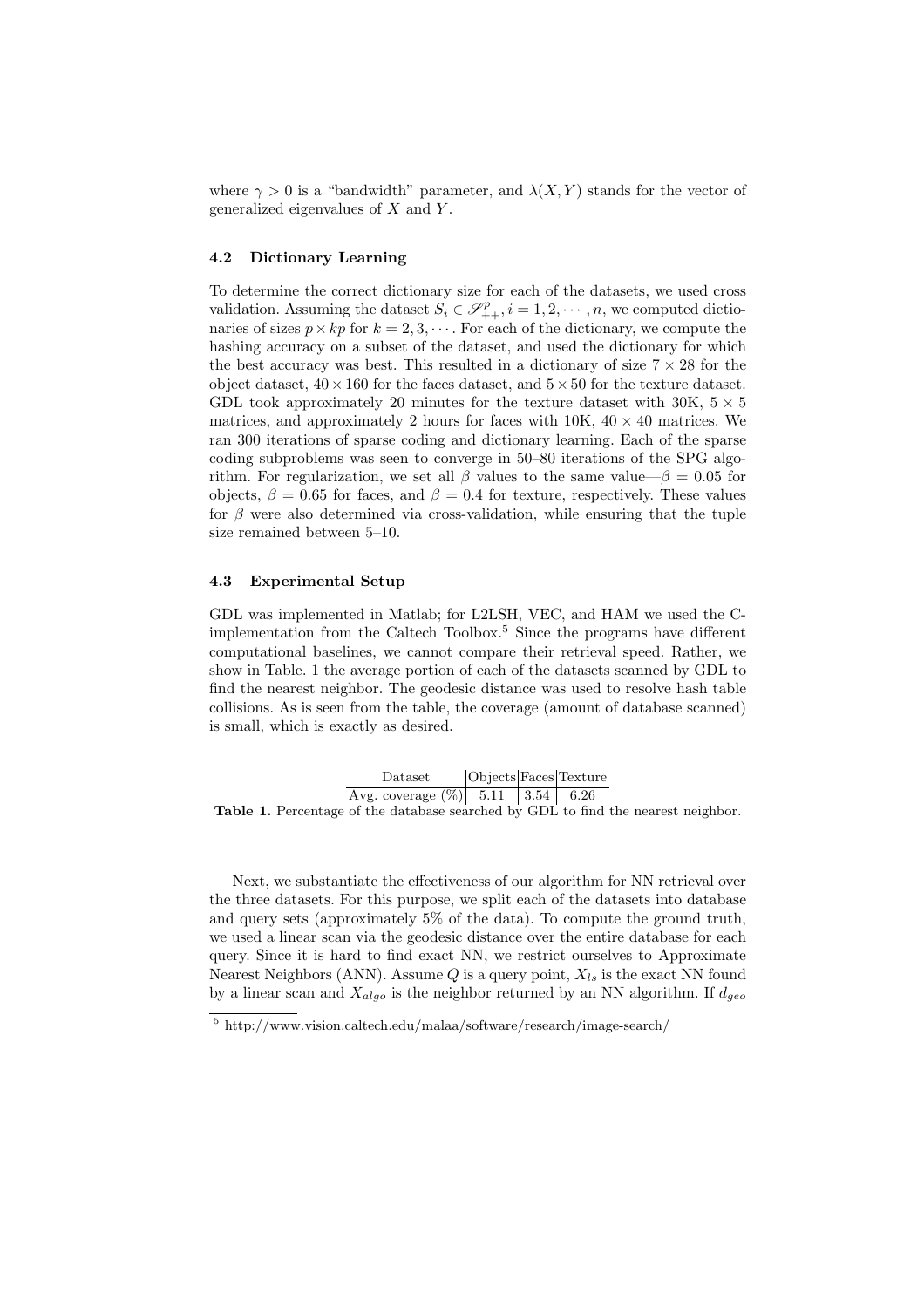where  $\gamma > 0$  is a "bandwidth" parameter, and  $\lambda(X, Y)$  stands for the vector of generalized eigenvalues of  $X$  and  $Y$ .

#### 4.2 Dictionary Learning

To determine the correct dictionary size for each of the datasets, we used cross validation. Assuming the dataset  $S_i \in \mathcal{S}_{++}^p, i = 1, 2, \cdots, n$ , we computed dictionaries of sizes  $p \times kp$  for  $k = 2, 3, \cdots$ . For each of the dictionary, we compute the hashing accuracy on a subset of the dataset, and used the dictionary for which the best accuracy was best. This resulted in a dictionary of size  $7 \times 28$  for the object dataset,  $40 \times 160$  for the faces dataset, and  $5 \times 50$  for the texture dataset. GDL took approximately 20 minutes for the texture dataset with 30K,  $5 \times 5$ matrices, and approximately 2 hours for faces with  $10K$ ,  $40 \times 40$  matrices. We ran 300 iterations of sparse coding and dictionary learning. Each of the sparse coding subproblems was seen to converge in 50–80 iterations of the SPG algorithm. For regularization, we set all  $\beta$  values to the same value— $\beta = 0.05$  for objects,  $\beta = 0.65$  for faces, and  $\beta = 0.4$  for texture, respectively. These values for  $\beta$  were also determined via cross-validation, while ensuring that the tuple size remained between 5–10.

#### 4.3 Experimental Setup

GDL was implemented in Matlab; for L2LSH, VEC, and HAM we used the Cimplementation from the Caltech Toolbox.<sup>5</sup> Since the programs have different computational baselines, we cannot compare their retrieval speed. Rather, we show in Table. 1 the average portion of each of the datasets scanned by GDL to find the nearest neighbor. The geodesic distance was used to resolve hash table collisions. As is seen from the table, the coverage (amount of database scanned) is small, which is exactly as desired.

Dataset | Objects Faces Texture Avg. coverage  $(\%)$  5.11 3.54 6.26 Table 1. Percentage of the database searched by GDL to find the nearest neighbor.

Next, we substantiate the effectiveness of our algorithm for NN retrieval over the three datasets. For this purpose, we split each of the datasets into database and query sets (approximately 5% of the data). To compute the ground truth, we used a linear scan via the geodesic distance over the entire database for each query. Since it is hard to find exact NN, we restrict ourselves to Approximate Nearest Neighbors (ANN). Assume  $Q$  is a query point,  $X_{ls}$  is the exact NN found by a linear scan and  $X_{algo}$  is the neighbor returned by an NN algorithm. If  $d_{geo}$ 

 $^5$ http://www.vision.caltech.edu/malaa/software/research/image-search/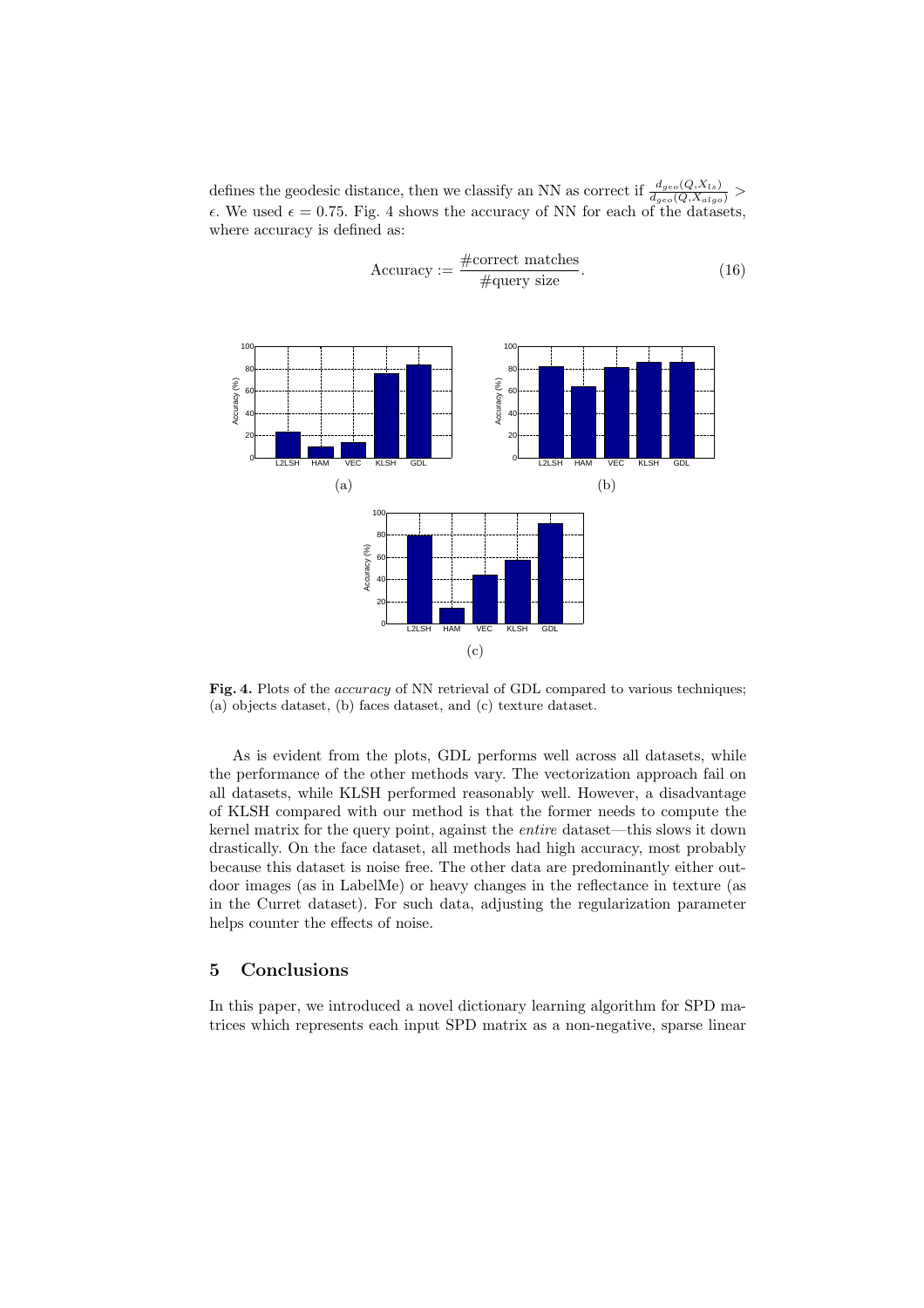defines the geodesic distance, then we classify an NN as correct if  $\frac{d_{geo}(Q,X_{ls})}{d_{geo}(Q,X_{algo})}$  >  $\epsilon$ . We used  $\epsilon = 0.75$ . Fig. 4 shows the accuracy of NN for each of the datasets, where accuracy is defined as:



Fig. 4. Plots of the *accuracy* of NN retrieval of GDL compared to various techniques; (a) objects dataset, (b) faces dataset, and (c) texture dataset.

As is evident from the plots, GDL performs well across all datasets, while the performance of the other methods vary. The vectorization approach fail on all datasets, while KLSH performed reasonably well. However, a disadvantage of KLSH compared with our method is that the former needs to compute the kernel matrix for the query point, against the entire dataset—this slows it down drastically. On the face dataset, all methods had high accuracy, most probably because this dataset is noise free. The other data are predominantly either outdoor images (as in LabelMe) or heavy changes in the reflectance in texture (as in the Curret dataset). For such data, adjusting the regularization parameter helps counter the effects of noise.

## 5 Conclusions

In this paper, we introduced a novel dictionary learning algorithm for SPD matrices which represents each input SPD matrix as a non-negative, sparse linear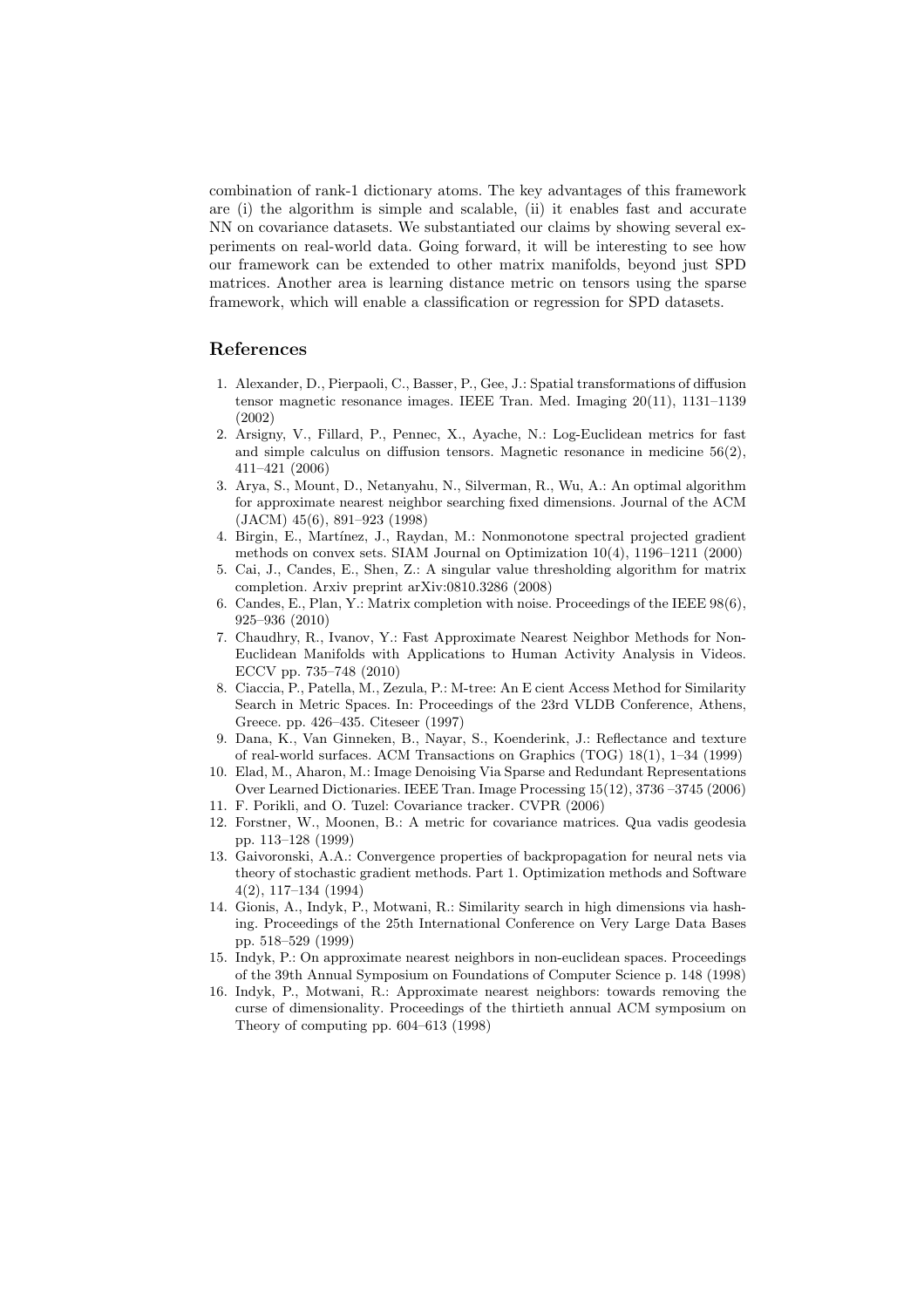combination of rank-1 dictionary atoms. The key advantages of this framework are (i) the algorithm is simple and scalable, (ii) it enables fast and accurate NN on covariance datasets. We substantiated our claims by showing several experiments on real-world data. Going forward, it will be interesting to see how our framework can be extended to other matrix manifolds, beyond just SPD matrices. Another area is learning distance metric on tensors using the sparse framework, which will enable a classification or regression for SPD datasets.

# References

- 1. Alexander, D., Pierpaoli, C., Basser, P., Gee, J.: Spatial transformations of diffusion tensor magnetic resonance images. IEEE Tran. Med. Imaging 20(11), 1131–1139 (2002)
- 2. Arsigny, V., Fillard, P., Pennec, X., Ayache, N.: Log-Euclidean metrics for fast and simple calculus on diffusion tensors. Magnetic resonance in medicine 56(2), 411–421 (2006)
- 3. Arya, S., Mount, D., Netanyahu, N., Silverman, R., Wu, A.: An optimal algorithm for approximate nearest neighbor searching fixed dimensions. Journal of the ACM (JACM) 45(6), 891–923 (1998)
- 4. Birgin, E., Martínez, J., Raydan, M.: Nonmonotone spectral projected gradient methods on convex sets. SIAM Journal on Optimization 10(4), 1196–1211 (2000)
- 5. Cai, J., Candes, E., Shen, Z.: A singular value thresholding algorithm for matrix completion. Arxiv preprint arXiv:0810.3286 (2008)
- 6. Candes, E., Plan, Y.: Matrix completion with noise. Proceedings of the IEEE 98(6), 925–936 (2010)
- 7. Chaudhry, R., Ivanov, Y.: Fast Approximate Nearest Neighbor Methods for Non-Euclidean Manifolds with Applications to Human Activity Analysis in Videos. ECCV pp. 735–748 (2010)
- 8. Ciaccia, P., Patella, M., Zezula, P.: M-tree: An E cient Access Method for Similarity Search in Metric Spaces. In: Proceedings of the 23rd VLDB Conference, Athens, Greece. pp. 426–435. Citeseer (1997)
- 9. Dana, K., Van Ginneken, B., Nayar, S., Koenderink, J.: Reflectance and texture of real-world surfaces. ACM Transactions on Graphics (TOG) 18(1), 1–34 (1999)
- 10. Elad, M., Aharon, M.: Image Denoising Via Sparse and Redundant Representations Over Learned Dictionaries. IEEE Tran. Image Processing 15(12), 3736 –3745 (2006)
- 11. F. Porikli, and O. Tuzel: Covariance tracker. CVPR (2006)
- 12. Forstner, W., Moonen, B.: A metric for covariance matrices. Qua vadis geodesia pp. 113–128 (1999)
- 13. Gaivoronski, A.A.: Convergence properties of backpropagation for neural nets via theory of stochastic gradient methods. Part 1. Optimization methods and Software 4(2), 117–134 (1994)
- 14. Gionis, A., Indyk, P., Motwani, R.: Similarity search in high dimensions via hashing. Proceedings of the 25th International Conference on Very Large Data Bases pp. 518–529 (1999)
- 15. Indyk, P.: On approximate nearest neighbors in non-euclidean spaces. Proceedings of the 39th Annual Symposium on Foundations of Computer Science p. 148 (1998)
- 16. Indyk, P., Motwani, R.: Approximate nearest neighbors: towards removing the curse of dimensionality. Proceedings of the thirtieth annual ACM symposium on Theory of computing pp. 604–613 (1998)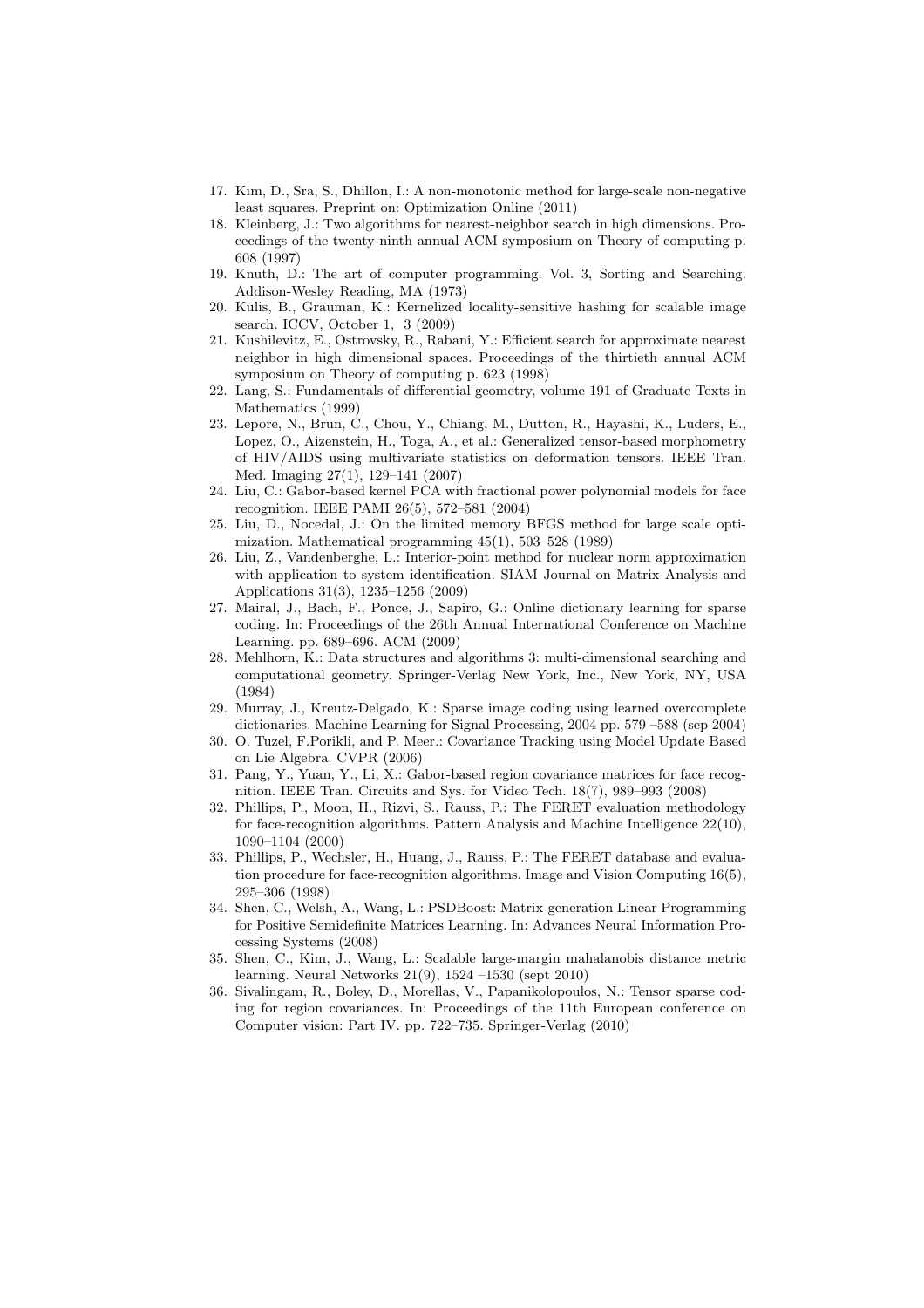- 17. Kim, D., Sra, S., Dhillon, I.: A non-monotonic method for large-scale non-negative least squares. Preprint on: Optimization Online (2011)
- 18. Kleinberg, J.: Two algorithms for nearest-neighbor search in high dimensions. Proceedings of the twenty-ninth annual ACM symposium on Theory of computing p. 608 (1997)
- 19. Knuth, D.: The art of computer programming. Vol. 3, Sorting and Searching. Addison-Wesley Reading, MA (1973)
- 20. Kulis, B., Grauman, K.: Kernelized locality-sensitive hashing for scalable image search. ICCV, October 1, 3 (2009)
- 21. Kushilevitz, E., Ostrovsky, R., Rabani, Y.: Efficient search for approximate nearest neighbor in high dimensional spaces. Proceedings of the thirtieth annual ACM symposium on Theory of computing p. 623 (1998)
- 22. Lang, S.: Fundamentals of differential geometry, volume 191 of Graduate Texts in Mathematics (1999)
- 23. Lepore, N., Brun, C., Chou, Y., Chiang, M., Dutton, R., Hayashi, K., Luders, E., Lopez, O., Aizenstein, H., Toga, A., et al.: Generalized tensor-based morphometry of HIV/AIDS using multivariate statistics on deformation tensors. IEEE Tran. Med. Imaging 27(1), 129–141 (2007)
- 24. Liu, C.: Gabor-based kernel PCA with fractional power polynomial models for face recognition. IEEE PAMI 26(5), 572–581 (2004)
- 25. Liu, D., Nocedal, J.: On the limited memory BFGS method for large scale optimization. Mathematical programming 45(1), 503–528 (1989)
- 26. Liu, Z., Vandenberghe, L.: Interior-point method for nuclear norm approximation with application to system identification. SIAM Journal on Matrix Analysis and Applications 31(3), 1235–1256 (2009)
- 27. Mairal, J., Bach, F., Ponce, J., Sapiro, G.: Online dictionary learning for sparse coding. In: Proceedings of the 26th Annual International Conference on Machine Learning. pp. 689–696. ACM (2009)
- 28. Mehlhorn, K.: Data structures and algorithms 3: multi-dimensional searching and computational geometry. Springer-Verlag New York, Inc., New York, NY, USA (1984)
- 29. Murray, J., Kreutz-Delgado, K.: Sparse image coding using learned overcomplete dictionaries. Machine Learning for Signal Processing, 2004 pp. 579 –588 (sep 2004)
- 30. O. Tuzel, F.Porikli, and P. Meer.: Covariance Tracking using Model Update Based on Lie Algebra. CVPR (2006)
- 31. Pang, Y., Yuan, Y., Li, X.: Gabor-based region covariance matrices for face recognition. IEEE Tran. Circuits and Sys. for Video Tech. 18(7), 989–993 (2008)
- 32. Phillips, P., Moon, H., Rizvi, S., Rauss, P.: The FERET evaluation methodology for face-recognition algorithms. Pattern Analysis and Machine Intelligence 22(10), 1090–1104 (2000)
- 33. Phillips, P., Wechsler, H., Huang, J., Rauss, P.: The FERET database and evaluation procedure for face-recognition algorithms. Image and Vision Computing 16(5), 295–306 (1998)
- 34. Shen, C., Welsh, A., Wang, L.: PSDBoost: Matrix-generation Linear Programming for Positive Semidefinite Matrices Learning. In: Advances Neural Information Processing Systems (2008)
- 35. Shen, C., Kim, J., Wang, L.: Scalable large-margin mahalanobis distance metric learning. Neural Networks 21(9), 1524 –1530 (sept 2010)
- 36. Sivalingam, R., Boley, D., Morellas, V., Papanikolopoulos, N.: Tensor sparse coding for region covariances. In: Proceedings of the 11th European conference on Computer vision: Part IV. pp. 722–735. Springer-Verlag (2010)